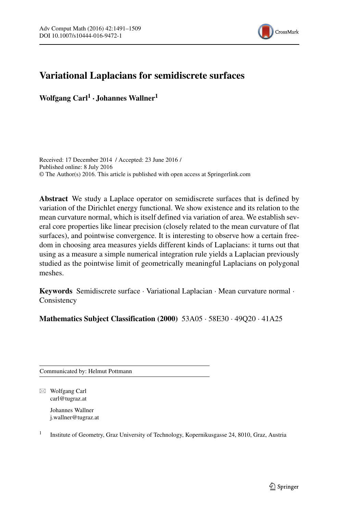

# **Variational Laplacians for semidiscrete surfaces**

**Wolfgang Carl1 · Johannes Wallner<sup>1</sup>**

Received: 17 December 2014 / Accepted: 23 June 2016 / Published online: 8 July 2016 © The Author(s) 2016. This article is published with open access at Springerlink.com

**Abstract** We study a Laplace operator on semidiscrete surfaces that is defined by variation of the Dirichlet energy functional. We show existence and its relation to the mean curvature normal, which is itself defined via variation of area. We establish several core properties like linear precision (closely related to the mean curvature of flat surfaces), and pointwise convergence. It is interesting to observe how a certain freedom in choosing area measures yields different kinds of Laplacians: it turns out that using as a measure a simple numerical integration rule yields a Laplacian previously studied as the pointwise limit of geometrically meaningful Laplacians on polygonal meshes.

**Keywords** Semidiscrete surface · Variational Laplacian · Mean curvature normal · **Consistency** 

**Mathematics Subject Classification (2000)** 53A05 · 58E30 · 49Q20 · 41A25

Communicated by: Helmut Pottmann

- Wolfgang Carl [carl@tugraz.at](mailto:carl@tugraz.at)

> Johannes Wallner [j.wallner@tugraz.at](mailto:j.wallner@tugraz.at)

<sup>1</sup> Institute of Geometry, Graz University of Technology, Kopernikusgasse 24, 8010, Graz, Austria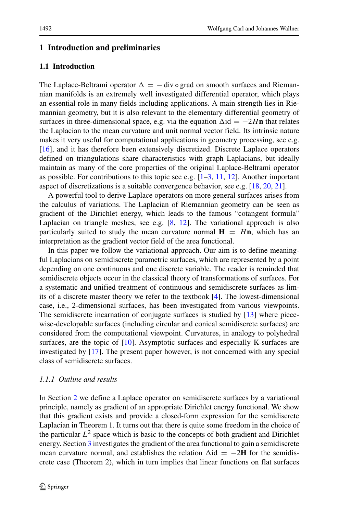# **1 Introduction and preliminaries**

## **1.1 Introduction**

The Laplace-Beltrami operator  $\Delta = -$  div  $\circ$  grad on smooth surfaces and Riemannian manifolds is an extremely well investigated differential operator, which plays an essential role in many fields including applications. A main strength lies in Riemannian geometry, but it is also relevant to the elementary differential geometry of surfaces in three-dimensional space, e.g. via the equation  $\Delta$ id =  $-2H$ **n** that relates the Laplacian to the mean curvature and unit normal vector field. Its intrinsic nature makes it very useful for computational applications in geometry processing, see e.g. [\[16\]](#page-18-0), and it has therefore been extensively discretized. Discrete Laplace operators defined on triangulations share characteristics with graph Laplacians, but ideally maintain as many of the core properties of the original Laplace-Beltrami operator as possible. For contributions to this topic see e.g.  $[1-3, 11, 12]$  $[1-3, 11, 12]$  $[1-3, 11, 12]$  $[1-3, 11, 12]$  $[1-3, 11, 12]$ . Another important aspect of discretizations is a suitable convergence behavior, see e.g. [\[18,](#page-18-3) [20,](#page-18-4) [21\]](#page-18-5).

A powerful tool to derive Laplace operators on more general surfaces arises from the calculus of variations. The Laplacian of Riemannian geometry can be seen as gradient of the Dirichlet energy, which leads to the famous "cotangent formula" Laplacian on triangle meshes, see e.g.  $[8, 12]$  $[8, 12]$  $[8, 12]$ . The variational approach is also particularly suited to study the mean curvature normal  $H = Hn$ , which has an interpretation as the gradient vector field of the area functional.

In this paper we follow the variational approach. Our aim is to define meaningful Laplacians on semidiscrete parametric surfaces, which are represented by a point depending on one continuous and one discrete variable. The reader is reminded that semidiscrete objects occur in the classical theory of transformations of surfaces. For a systematic and unified treatment of continuous and semidiscrete surfaces as limits of a discrete master theory we refer to the textbook [\[4\]](#page-17-2). The lowest-dimensional case, i.e., 2-dimensional surfaces, has been investigated from various viewpoints. The semidiscrete incarnation of conjugate surfaces is studied by [\[13\]](#page-18-7) where piecewise-developable surfaces (including circular and conical semidiscrete surfaces) are considered from the computational viewpoint. Curvatures, in analogy to polyhedral surfaces, are the topic of [\[10\]](#page-18-8). Asymptotic surfaces and especially K-surfaces are investigated by [\[17\]](#page-18-9). The present paper however, is not concerned with any special class of semidiscrete surfaces.

## *1.1.1 Outline and results*

In Section [2](#page-4-0) we define a Laplace operator on semidiscrete surfaces by a variational principle, namely as gradient of an appropriate Dirichlet energy functional. We show that this gradient exists and provide a closed-form expression for the semidiscrete Laplacian in Theorem 1. It turns out that there is quite some freedom in the choice of the particular  $L^2$  space which is basic to the concepts of both gradient and Dirichlet energy. Section [3](#page-9-0) investigates the gradient of the area functional to gain a semidiscrete mean curvature normal, and establishes the relation  $\Delta$ id = −2**H** for the semidiscrete case (Theorem 2), which in turn implies that linear functions on flat surfaces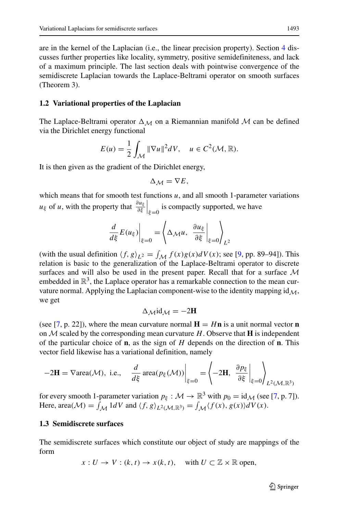are in the kernel of the Laplacian (i.e., the linear precision property). Section [4](#page-11-0) discusses further properties like locality, symmetry, positive semidefiniteness, and lack of a maximum principle. The last section deals with pointwise convergence of the semidiscrete Laplacian towards the Laplace-Beltrami operator on smooth surfaces (Theorem 3).

#### <span id="page-2-0"></span>**1.2 Variational properties of the Laplacian**

The Laplace-Beltrami operator  $\Delta_M$  on a Riemannian manifold M can be defined via the Dirichlet energy functional

$$
E(u) = \frac{1}{2} \int_{\mathcal{M}} ||\nabla u||^2 dV, \quad u \in C^2(\mathcal{M}, \mathbb{R}).
$$

It is then given as the gradient of the Dirichlet energy,

$$
\Delta_{\mathcal{M}} = \nabla E,
$$

which means that for smooth test functions  $u$ , and all smooth 1-parameter variations *u*<sub>ξ</sub> of *u*, with the property that  $\frac{\partial u_{\xi}}{\partial \xi}\Big|_{\xi=0}$ is compactly supported, we have

$$
\left. \frac{d}{d\xi} E(u_{\xi}) \right|_{\xi=0} = \left\langle \Delta_{\mathcal{M}} u, \left. \frac{\partial u_{\xi}}{\partial \xi} \right|_{\xi=0} \right\rangle_{L^2}
$$

(with the usual definition  $\langle f, g \rangle_{L^2} = \int_{\mathcal{M}} f(x)g(x) dV(x)$ ; see [\[9,](#page-18-10) pp. 89–94]). This relation is basic to the generalization of the Laplace-Beltrami operator to discrete surfaces and will also be used in the present paper. Recall that for a surface  $M$ embedded in  $\mathbb{R}^3$ , the Laplace operator has a remarkable connection to the mean curvature normal. Applying the Laplacian component-wise to the identity mapping  $id_M$ , we get

$$
\Delta_{\mathcal{M}}\mathrm{id}_{\mathcal{M}}=-2\mathbf{H}
$$

(see [\[7,](#page-18-11) p. 22]), where the mean curvature normal  $H = Hn$  is a unit normal vector **n** on  $M$  scaled by the corresponding mean curvature  $H$ . Observe that **H** is independent of the particular choice of **n**, as the sign of *H* depends on the direction of **n**. This vector field likewise has a variational definition, namely

$$
-2\mathbf{H} = \nabla \text{area}(\mathcal{M}), \text{ i.e., } \frac{d}{d\xi} \text{ area}(p_{\xi}(\mathcal{M})) \bigg|_{\xi=0} = \left\langle -2\mathbf{H}, \frac{\partial p_{\xi}}{\partial \xi} \bigg|_{\xi=0} \right\rangle_{L^2(\mathcal{M}, \mathbb{R}^3)}
$$

for every smooth 1-parameter variation  $p_{\xi}: \mathcal{M} \to \mathbb{R}^3$  with  $p_0 = id_{\mathcal{M}}$  (see [\[7,](#page-18-11) p. 7]). Here,  $\text{area}(\mathcal{M}) = \int_{\mathcal{M}} 1 dV$  and  $\langle f, g \rangle_{L^2(\mathcal{M}, \mathbb{R}^3)} = \int_{\mathcal{M}} \langle f(x), g(x) \rangle dV(x)$ .

#### **1.3 Semidiscrete surfaces**

The semidiscrete surfaces which constitute our object of study are mappings of the form

$$
x: U \to V : (k, t) \to x(k, t), \quad \text{with } U \subset \mathbb{Z} \times \mathbb{R} \text{ open},
$$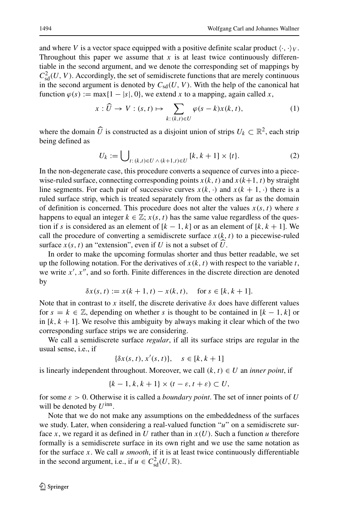and where *V* is a vector space equipped with a positive definite scalar product  $\langle \cdot, \cdot \rangle_V$ . Throughout this paper we assume that  $x$  is at least twice continuously differentiable in the second argument, and we denote the corresponding set of mappings by  $C<sub>sd</sub><sup>2</sup>(U, V)$ . Accordingly, the set of semidiscrete functions that are merely continuous in the second argument is denoted by  $C_{sd}(U, V)$ . With the help of the canonical hat function  $\varphi(s) := \max\{1 - |s|, 0\}$ , we extend *x* to a mapping, again called *x*,

<span id="page-3-0"></span>
$$
x: \widehat{U} \to V : (s, t) \mapsto \sum_{k: (k,t) \in U} \varphi(s-k)x(k,t), \tag{1}
$$

where the domain  $\widehat{U}$  is constructed as a disjoint union of strips  $U_k \subset \mathbb{R}^2$ , each strip being defined as

<span id="page-3-1"></span>
$$
U_k := \bigcup_{t: (k,t) \in U \, \wedge \, (k+1,t) \in U} [k, k+1] \times \{t\}.
$$
 (2)

In the non-degenerate case, this procedure converts a sequence of curves into a piecewise-ruled surface, connecting corresponding points  $x(k, t)$  and  $x(k+1, t)$  by straight line segments. For each pair of successive curves  $x(k, \cdot)$  and  $x(k + 1, \cdot)$  there is a ruled surface strip, which is treated separately from the others as far as the domain of definition is concerned. This procedure does not alter the values  $x(s, t)$  where  $s$ happens to equal an integer  $k \in \mathbb{Z}$ ;  $x(s, t)$  has the same value regardless of the question if *s* is considered as an element of  $[k - 1, k]$  or as an element of  $[k, k + 1]$ . We call the procedure of converting a semidiscrete surface  $x(k, t)$  to a piecewise-ruled surface  $x(s, t)$  an "extension", even if *U* is not a subset of *U*.

In order to make the upcoming formulas shorter and thus better readable, we set up the following notation. For the derivatives of  $x(k, t)$  with respect to the variable  $t$ , we write  $x'$ ,  $x''$ , and so forth. Finite differences in the discrete direction are denoted by

$$
\delta x(s, t) := x(k + 1, t) - x(k, t), \quad \text{for } s \in [k, k + 1].
$$

Note that in contrast to *x* itself, the discrete derivative  $\delta x$  does have different values for  $s = k \in \mathbb{Z}$ , depending on whether *s* is thought to be contained in  $[k-1, k]$  or in  $[k, k + 1]$ . We resolve this ambiguity by always making it clear which of the two corresponding surface strips we are considering.

We call a semidiscrete surface *regular*, if all its surface strips are regular in the usual sense, i.e., if

$$
\{\delta x(s,t), x'(s,t)\}, \quad s \in [k, k+1]
$$

is linearly independent throughout. Moreover, we call  $(k, t) \in U$  an *inner point*, if

$$
\{k-1, k, k+1\} \times (t-\varepsilon, t+\varepsilon) \subset U,
$$

for some *ε >* 0. Otherwise it is called a *boundary point*. The set of inner points of *U* will be denoted by *U*inn.

Note that we do not make any assumptions on the embeddedness of the surfaces we study. Later, when considering a real-valued function "*u*" on a semidiscrete surface *x*, we regard it as defined in *U* rather than in  $x(U)$ . Such a function *u* therefore formally is a semidiscrete surface in its own right and we use the same notation as for the surface *x*. We call *u smooth*, if it is at least twice continuously differentiable in the second argument, i.e., if  $u \in C<sub>sd</sub><sup>2</sup>(U, \mathbb{R})$ .

 $\textcircled{2}$  Springer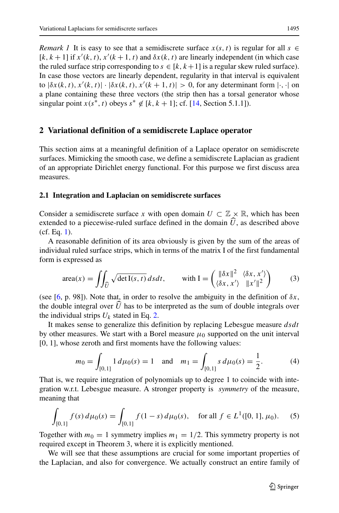*Remark 1* It is easy to see that a semidiscrete surface  $x(s, t)$  is regular for all  $s \in$  $[k, k+1]$  if  $x'(k, t)$ ,  $x'(k+1, t)$  and  $\delta x(k, t)$  are linearly independent (in which case the ruled surface strip corresponding to  $s \in [k, k+1]$  is a regular skew ruled surface). In case those vectors are linearly dependent, regularity in that interval is equivalent to  $|\delta x(k, t), x'(k, t)| \cdot |\delta x(k, t), x'(k+1, t)| > 0$ , for any determinant form  $|\cdot, \cdot|$  on a plane containing these three vectors (the strip then has a torsal generator whose singular point  $x(s^*, t)$  obeys  $s^* \notin [k, k+1]$ ; cf. [\[14,](#page-18-12) Section 5.1.1]).

## <span id="page-4-0"></span>**2 Variational definition of a semidiscrete Laplace operator**

This section aims at a meaningful definition of a Laplace operator on semidiscrete surfaces. Mimicking the smooth case, we define a semidiscrete Laplacian as gradient of an appropriate Dirichlet energy functional. For this purpose we first discuss area measures.

#### **2.1 Integration and Laplacian on semidiscrete surfaces**

Consider a semidiscrete surface *x* with open domain  $U \subset \mathbb{Z} \times \mathbb{R}$ , which has been extended to a piecewise-ruled surface defined in the domain  $U$ , as described above  $(6.5 \text{ Fe} \cdot 1)$ (cf. Eq. [1\)](#page-3-0).

A reasonable definition of its area obviously is given by the sum of the areas of individual ruled surface strips, which in terms of the matrix I of the first fundamental form is expressed as

<span id="page-4-1"></span>
$$
\text{area}(x) = \iint_{\widehat{U}} \sqrt{\det I(s, t)} \, ds \, dt, \qquad \text{with } I = \begin{pmatrix} \|\delta x\|^2 & \langle \delta x, x' \rangle \\ \langle \delta x, x' \rangle & \|x'\|^2 \end{pmatrix} \tag{3}
$$

(see [\[6,](#page-17-3) p. 98]). Note that, in order to resolve the ambiguity in the definition of  $\delta x$ , the double integral over *U* has to be interpreted as the sum of double integrals over the individual strips  $U_k$  stated in Eq. [2.](#page-3-1)

It makes sense to generalize this definition by replacing Lebesgue measure *dsdt* by other measures. We start with a Borel measure  $\mu_0$  supported on the unit interval [0*,* 1], whose zeroth and first moments have the following values:

<span id="page-4-2"></span>
$$
m_0 = \int_{[0,1]} 1 d\mu_0(s) = 1
$$
 and  $m_1 = \int_{[0,1]} s d\mu_0(s) = \frac{1}{2}.$  (4)

That is, we require integration of polynomials up to degree 1 to coincide with integration w.r.t. Lebesgue measure. A stronger property is *symmetry* of the measure, meaning that

<span id="page-4-3"></span>
$$
\int_{[0,1]} f(s) d\mu_0(s) = \int_{[0,1]} f(1-s) d\mu_0(s), \quad \text{for all } f \in L^1([0,1], \mu_0). \tag{5}
$$

Together with  $m_0 = 1$  symmetry implies  $m_1 = 1/2$ . This symmetry property is not required except in Theorem 3, where it is explicitly mentioned.

We will see that these assumptions are crucial for some important properties of the Laplacian, and also for convergence. We actually construct an entire family of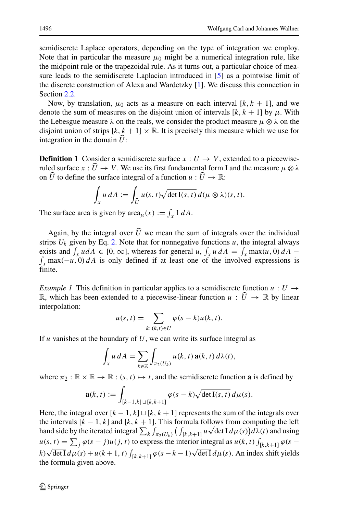semidiscrete Laplace operators, depending on the type of integration we employ. Note that in particular the measure  $\mu_0$  might be a numerical integration rule, like the midpoint rule or the trapezoidal rule. As it turns out, a particular choice of measure leads to the semidiscrete Laplacian introduced in [\[5\]](#page-17-4) as a pointwise limit of the discrete construction of Alexa and Wardetzky [\[1\]](#page-17-0). We discuss this connection in Section [2.2.](#page-8-0)

Now, by translation,  $\mu_0$  acts as a measure on each interval [ $k, k + 1$ ], and we denote the sum of measures on the disjoint union of intervals  $[k, k + 1]$  by  $\mu$ . With the Lebesgue measure  $\lambda$  on the reals, we consider the product measure  $\mu \otimes \lambda$  on the disjoint union of strips  $[k, k + 1] \times \mathbb{R}$ . It is precisely this measure which we use for integration in the domain *U* :

**Definition 1** Consider a semidiscrete surface  $x: U \rightarrow V$ , extended to a piecewiseruled surface  $x: U \to V$ . We use its first fundamental form I and the measure  $\mu \otimes \lambda$ on  $\widehat{U}$  to define the surface integral of a function  $u : \widehat{U} \to \mathbb{R}$ :

$$
\int_{x} u dA := \int_{\widehat{U}} u(s,t) \sqrt{\det I(s,t)} d(\mu \otimes \lambda)(s,t).
$$

The surface area is given by  $\text{area}_{\mu}(x) := \int_{x} 1 \, dA$ .

Again, by the integral over *U* we mean the sum of integrals over the individual<br>ine *U* since hy Eq. 2. Note that for nonnective functions with integral always strips  $U_k$  given by Eq. [2.](#page-3-1) Note that for nonnegative functions  $u$ , the integral always exists and  $\int_x u dA \in [0, \infty]$ , whereas for general *u*,  $\int_x u dA = \int_x$ exists and  $\int_x u dA \in [0, \infty]$ , whereas for general *u*,  $\int_x u dA = \int_x \max(u, 0) dA - \int_x \max(-u, 0) dA$  is only defined if at least one of the involved expressions is finite.

*Example 1* This definition in particular applies to a semidiscrete function  $u: U \rightarrow$ R, which has been extended to a piecewise-linear function  $u: \hat{U} \to \mathbb{R}$  by linear interpolation:

$$
u(s,t) = \sum_{k:(k,t)\in U} \varphi(s-k)u(k,t).
$$

If *u* vanishes at the boundary of *U*, we can write its surface integral as

$$
\int_{x} u dA = \sum_{k \in \mathbb{Z}} \int_{\pi_2(U_k)} u(k, t) \mathbf{a}(k, t) d\lambda(t),
$$

where  $\pi_2 : \mathbb{R} \times \mathbb{R} \to \mathbb{R} : (s, t) \mapsto t$ , and the semidiscrete function **a** is defined by

$$
\mathbf{a}(k,t) := \int_{[k-1,k] \sqcup [k,k+1]} \varphi(s-k) \sqrt{\det \mathrm{I}(s,t)} \, d\mu(s).
$$

Here, the integral over  $[k - 1, k] \sqcup [k, k + 1]$  represents the sum of the integrals over the intervals  $[k - 1, k]$  and  $[k, k + 1]$ . This formula follows from computing the left hand side by the iterated integral  $\sum_{k} \int_{\pi_2(U_k)} (\int_{[k,k+1]} u \sqrt{\det I} d\mu(s)) d\lambda(t)$  and using  $u(s, t) = \sum_j \varphi(s - j)u(j, t)$  to express the interior integral as  $u(k, t) \int_{[k, k+1]} \varphi(s - j)u(k, t)$  $k) \sqrt{\det I} d\mu(s) + u(k+1, t) \int_{[k,k+1]} \varphi(s-k-1) \sqrt{\det I} d\mu(s)$ . An index shift yields the formula given above.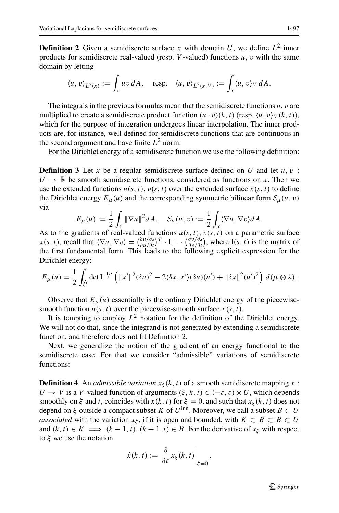**Definition 2** Given a semidiscrete surface x with domain U, we define  $L^2$  inner products for semidiscrete real-valued (resp. *V* -valued) functions *u*, *v* with the same domain by letting

$$
\langle u, v \rangle_{L^2(x)} := \int_x u v \, dA, \quad \text{resp.} \quad \langle u, v \rangle_{L^2(x, V)} := \int_x \langle u, v \rangle_V \, dA.
$$

The integrals in the previous formulas mean that the semidiscrete functions *u*, *v* are multiplied to create a semidiscrete product function  $(u \cdot v)(k, t)$  (resp.  $\langle u, v \rangle_V(k, t)$ ), which for the purpose of integration undergoes linear interpolation. The inner products are, for instance, well defined for semidiscrete functions that are continuous in the second argument and have finite  $L^2$  norm.

For the Dirichlet energy of a semidiscrete function we use the following definition:

**Definition 3** Let *x* be a regular semidiscrete surface defined on *U* and let *u, v* :  $U \rightarrow \mathbb{R}$  be smooth semidiscrete functions, considered as functions on *x*. Then we use the extended functions  $u(s, t)$ ,  $v(s, t)$  over the extended surface  $x(s, t)$  to define the Dirichlet energy  $E_{\mu}(u)$  and the corresponding symmetric bilinear form  $\mathcal{E}_{\mu}(u, v)$ via

$$
E_{\mu}(u) := \frac{1}{2} \int_{x} \|\nabla u\|^{2} dA, \quad \mathcal{E}_{\mu}(u, v) := \frac{1}{2} \int_{x} \langle \nabla u, \nabla v \rangle dA.
$$

As to the gradients of real-valued functions  $u(s, t)$ ,  $v(s, t)$  on a parametric surface  $x(s, t)$ , recall that  $\langle \nabla u, \nabla v \rangle = \left( \frac{\partial u}{\partial u} / \partial s \right) T \cdot I^{-1} \cdot \left( \frac{\partial v}{\partial v} / \partial s \right)$ , where I(s, t) is the matrix of the first fundamental form. This leads to the following explicit expression for the Dirichlet energy:

$$
E_{\mu}(u) = \frac{1}{2} \int_{\widehat{U}} \det \mathbf{I}^{-1/2} \left( \|x'\|^2 (\delta u)^2 - 2 \langle \delta x, x' \rangle (\delta u)(u') + \|\delta x\|^2 (u')^2 \right) d(\mu \otimes \lambda).
$$

Observe that  $E_{\mu}(u)$  essentially is the ordinary Dirichlet energy of the piecewisesmooth function  $u(s, t)$  over the piecewise-smooth surface  $x(s, t)$ .

It is tempting to employ  $L^2$  notation for the definition of the Dirichlet energy. We will not do that, since the integrand is not generated by extending a semidiscrete function, and therefore does not fit Definition 2.

Next, we generalize the notion of the gradient of an energy functional to the semidiscrete case. For that we consider "admissible" variations of semidiscrete functions:

**Definition 4** An *admissible variation*  $x_{\xi}(k, t)$  of a smooth semidiscrete mapping  $x$ : *U* → *V* is a *V*-valued function of arguments  $(\xi, k, t) \in (-\varepsilon, \varepsilon) \times U$ , which depends smoothly on  $\xi$  and *t*, coincides with  $x(k, t)$  for  $\xi = 0$ , and such that  $x_{\xi}(k, t)$  does not depend on  $\xi$  outside a compact subset *K* of *U*<sup>inn</sup>. Moreover, we call a subset  $B \subset U$ *associated* with the variation  $x_{\xi}$ , if it is open and bounded, with  $K \subset B \subset B \subset U$ and  $(k, t) \in K \implies (k - 1, t), (k + 1, t) \in B$ . For the derivative of  $x_{\xi}$  with respect to *ξ* we use the notation

$$
\dot{x}(k,t) := \left. \frac{\partial}{\partial \xi} x_{\xi}(k,t) \right|_{\xi=0}.
$$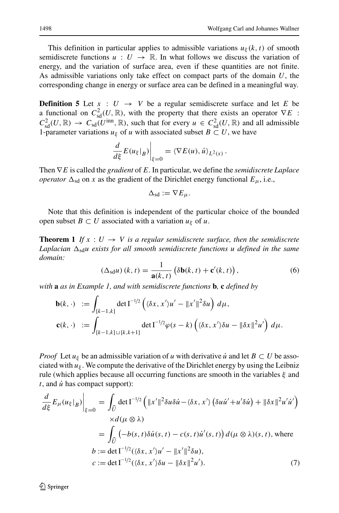This definition in particular applies to admissible variations  $u_{\xi}(k, t)$  of smooth semidiscrete functions  $u: U \to \mathbb{R}$ . In what follows we discuss the variation of energy, and the variation of surface area, even if these quantities are not finite. As admissible variations only take effect on compact parts of the domain *U*, the corresponding change in energy or surface area can be defined in a meaningful way.

**Definition 5** Let  $x : U \rightarrow V$  be a regular semidiscrete surface and let *E* be a functional on  $C_{sd}^2(U, \mathbb{R})$ , with the property that there exists an operator  $\nabla E$ :  $C_{\text{sd}}^2(U, \mathbb{R}) \to C_{\text{sd}}(U^{\text{inn}}, \mathbb{R})$ , such that for every  $u \in C_{\text{sd}}^2(U, \mathbb{R})$  and all admissible 1-parameter variations  $u_{\xi}$  of *u* with associated subset  $B \subset U$ , we have

$$
\left. \frac{d}{d\xi} E(u_{\xi}|_{B}) \right|_{\xi=0} = \langle \nabla E(u), \dot{u} \rangle_{L^{2}(x)}.
$$

Then ∇*E* is called the *gradient* of *E*. In particular, we define the *semidiscrete Laplace operator*  $\Delta_{sd}$  on *x* as the gradient of the Dirichlet energy functional  $E_{\mu}$ , i.e.,

$$
\Delta_{\rm sd}:=\nabla E_\mu.
$$

Note that this definition is independent of the particular choice of the bounded open subset  $B \subset U$  associated with a variation  $u_{\xi}$  of  $u$ .

<span id="page-7-2"></span>**Theorem 1** If  $x : U \to V$  is a regular semidiscrete surface, then the semidiscrete  $L$ aplacian  $\Delta_{sd}$ u exists for all smooth semidiscrete functions  $u$  defined in the same *domain:*

<span id="page-7-0"></span>
$$
\left(\Delta_{\text{sd}}u\right)(k,t) = \frac{1}{\mathbf{a}(k,t)} \left(\delta \mathbf{b}(k,t) + \mathbf{c}'(k,t)\right),\tag{6}
$$

*with* **a** *as in Example 1, and with semidiscrete functions* **b***,* **c** *defined by*

$$
\mathbf{b}(k, \cdot) := \int_{[k-1,k]} \det \mathbf{I}^{-1/2} \left( \langle \delta x, x' \rangle u' - ||x'||^2 \delta u \right) d\mu,
$$
  

$$
\mathbf{c}(k, \cdot) := \int_{[k-1,k] \sqcup [k,k+1]} \det \mathbf{I}^{-1/2} \varphi(s-k) \left( \langle \delta x, x' \rangle \delta u - ||\delta x||^2 u' \right) d\mu.
$$

*Proof* Let  $u_{\xi}$  be an admissible variation of *u* with derivative *u*<sup>i</sup> and let  $B \subset U$  be associated with  $u_{\xi}$ . We compute the derivative of the Dirichlet energy by using the Leibniz rule (which applies because all occurring functions are smooth in the variables *ξ* and  $t$ , and  $\dot{u}$  has compact support):

<span id="page-7-1"></span>
$$
\frac{d}{d\xi} E_{\mu}(u_{\xi}|_{B})\Big|_{\xi=0} = \int_{\widehat{U}} \det \Gamma^{-1/2} \left( \|x'\|^2 \delta u \delta \dot{u} - \langle \delta x, x' \rangle \left( \delta u \dot{u}' + u' \delta \dot{u} \right) + \| \delta x \|^2 u' \dot{u}' \right)
$$

$$
\times d(\mu \otimes \lambda)
$$

$$
= \int_{\widehat{U}} \left( -b(s, t) \delta \dot{u}(s, t) - c(s, t) \dot{u}'(s, t) \right) d(\mu \otimes \lambda)(s, t), \text{ where}
$$

$$
b := \det \Gamma^{-1/2} (\langle \delta x, x' \rangle u' - \|x'\|^2 \delta u),
$$

$$
c := \det \Gamma^{-1/2} (\langle \delta x, x' \rangle \delta u - \| \delta x \|^2 u'). \tag{7}
$$

 $\textcircled{2}$  Springer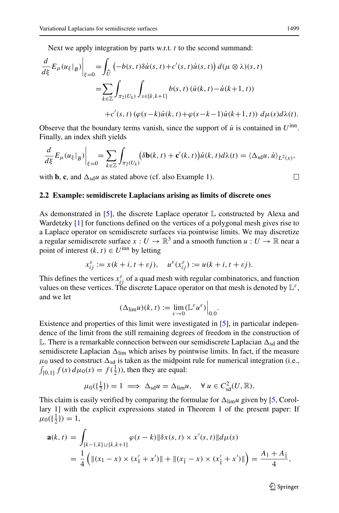Next we apply integration by parts w.r.t. *t* to the second summand:

$$
\frac{d}{d\xi} E_{\mu}(u_{\xi}|_{B})\Big|_{\xi=0} = \int_{\widehat{U}} \left(-b(s,t)\delta\dot{u}(s,t) + c'(s,t)\dot{u}(s,t)\right) d(\mu \otimes \lambda)(s,t)
$$

$$
= \sum_{k \in \mathbb{Z}} \int_{\pi_2(U_k)} \int_{s \in [k,k+1]} b(s,t) \left(\dot{u}(k,t) - \dot{u}(k+1,t)\right) \Big|_{t = t} = \int_{\pi_2(U_k)} \int_{s \in [k,k+1]} b(s,t) \left(\dot{u}(k,t) - \dot{u}(k+1,t)\right) d\mu(s) d\lambda(t).
$$

Observe that the boundary terms vanish, since the support of  $\dot{u}$  is contained in  $U^{\text{inn}}$ . Finally, an index shift yields

$$
\frac{d}{d\xi}E_{\mu}(u_{\xi}|_{B})\Big|_{\xi=0}=\sum_{k\in\mathbb{Z}}\int_{\pi_{2}(U_{k})}(\delta\mathbf{b}(k,t)+\mathbf{c}'(k,t))\dot{u}(k,t)d\lambda(t)=\langle\Delta_{\mathrm{sd}}\mu,\dot{u}\rangle_{L^{2}(x)},
$$

with **b**, **c**, and  $\Delta_{sd}u$  as stated above (cf. also Example 1).

#### <span id="page-8-0"></span>**2.2 Example: semidiscrete Laplacians arising as limits of discrete ones**

As demonstrated in  $[5]$ , the discrete Laplace operator  $\mathbb L$  constructed by Alexa and Wardetzky [\[1\]](#page-17-0) for functions defined on the vertices of a polygonal mesh gives rise to a Laplace operator on semidiscrete surfaces via pointwise limits. We may discretize a regular semidiscrete surface  $x: U \to \mathbb{R}^3$  and a smooth function  $u: U \to \mathbb{R}$  near a point of interest  $(k, t) \in U^{\text{inn}}$  by letting

$$
x_{ij}^{\varepsilon} := x(k+i, t+\varepsilon j), \quad u^{\varepsilon}(x_{ij}^{\varepsilon}) := u(k+i, t+\varepsilon j).
$$

This defines the vertices  $x_{ij}^{\varepsilon}$  of a quad mesh with regular combinatorics, and function values on these vertices. The discrete Lapace operator on that mesh is denoted by  $\mathbb{L}^{\varepsilon}$ , and we let

$$
(\Delta_{\lim} u)(k, t) := \lim_{\varepsilon \to 0} (\mathbb{L}^{\varepsilon} u^{\varepsilon}) \Big|_{0,0}.
$$

Existence and properties of this limit were investigated in [\[5\]](#page-17-4), in particular independence of the limit from the still remaining degrees of freedom in the construction of  $\mathbb L$ . There is a remarkable connection between our semidiscrete Laplacian  $\Delta_{sd}$  and the semidiscrete Laplacian  $\Delta_{\text{lim}}$  which arises by pointwise limits. In fact, if the measure  $\mu_0$  used to construct  $\Delta_{sd}$  is taken as the midpoint rule for numerical integration (i.e.,  $\int_{[0,1]} f(s) d\mu_0(s) = f(\frac{1}{2})$ , then they are equal:

$$
\mu_0(\{\tfrac{1}{2}\}) = 1 \implies \Delta_{\text{sd}} u = \Delta_{\text{lim}} u, \quad \forall u \in C^2_{\text{sd}}(U, \mathbb{R}).
$$

This claim is easily verified by comparing the formulae for  $\Delta_{\text{lim}} u$  given by [\[5,](#page-17-4) Corollary 1] with the explicit expressions stated in Theorem 1 of the present paper: If  $\mu_0(\{\frac{1}{2}\}) = 1,$ 

$$
\mathbf{a}(k,t) = \int_{[k-1,k] \sqcup [k,k+1]} \varphi(s-k) \|\delta x(s,t) \times x'(s,t)\| d\mu(s)
$$
  
=  $\frac{1}{4} \left( \| (x_1 - x) \times (x'_1 + x') \| + \| (x_1^- - x) \times (x'_1 + x') \| \right) = \frac{A_1 + A_1}{4},$ 

 $\textcircled{2}$  Springer

 $\Box$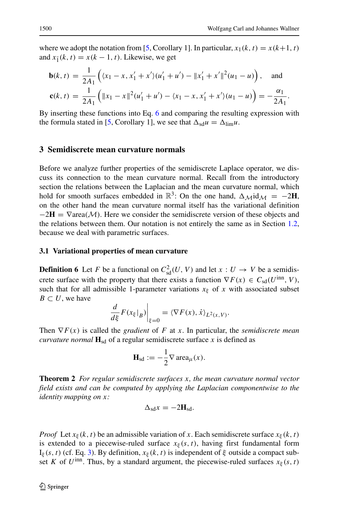where we adopt the notation from [\[5,](#page-17-4) Corollary 1]. In particular,  $x_1(k, t) = x(k+1, t)$ and  $x_1(k, t) = x(k - 1, t)$ . Likewise, we get

$$
\mathbf{b}(k,t) = \frac{1}{2A_1} \left( \langle x_1 - x, x_1' + x' \rangle (u_1' + u') - ||x_1' + x'||^2 (u_1 - u) \right), \text{ and}
$$
  

$$
\mathbf{c}(k,t) = \frac{1}{2A_1} \left( ||x_1 - x||^2 (u_1' + u') - \langle x_1 - x, x_1' + x' \rangle (u_1 - u) \right) = -\frac{\alpha_1}{2A_1}.
$$

By inserting these functions into Eq. [6](#page-7-0) and comparing the resulting expression with the formula stated in [\[5,](#page-17-4) Corollary 1], we see that  $\Delta_{sd}u = \Delta_{\text{lim}}u$ .

#### <span id="page-9-0"></span>**3 Semidiscrete mean curvature normals**

Before we analyze further properties of the semidiscrete Laplace operator, we discuss its connection to the mean curvature normal. Recall from the introductory section the relations between the Laplacian and the mean curvature normal, which hold for smooth surfaces embedded in  $\mathbb{R}^3$ : On the one hand,  $\Delta_{\mathcal{M}}$ id $\mathcal{M} = -2\mathbf{H}$ , on the other hand the mean curvature normal itself has the variational definition  $-2H = \nabla \text{area}(\mathcal{M})$ . Here we consider the semidiscrete version of these objects and the relations between them. Our notation is not entirely the same as in Section [1.2,](#page-2-0) because we deal with parametric surfaces.

#### **3.1 Variational properties of mean curvature**

**Definition 6** Let *F* be a functional on  $C_{sd}^2(U, V)$  and let  $x : U \to V$  be a semidiscrete surface with the property that there exists a function  $\nabla F(x) \in C_{sd}(U^{inn}, V)$ , such that for all admissible 1-parameter variations  $x_{\xi}$  of x with associated subset  $B \subset U$ , we have

$$
\left. \frac{d}{d\xi} F(x_{\xi}|_{B}) \right|_{\xi=0} = \langle \nabla F(x), \dot{x} \rangle_{L^2(x,V)}.
$$

Then  $\nabla F(x)$  is called the *gradient* of *F* at *x*. In particular, the *semidiscrete mean curvature normal*  $\mathbf{H}_{sd}$  of a regular semidiscrete surface *x* is defined as

$$
\mathbf{H}_{\mathrm{sd}} := -\frac{1}{2} \nabla \operatorname{area}_{\mu}(x).
$$

**Theorem 2** *For regular semidiscrete surfaces x, the mean curvature normal vector field exists and can be computed by applying the Laplacian componentwise to the identity mapping on x:*

$$
\Delta_{sd} x = -2\mathbf{H}_{sd}.
$$

*Proof* Let  $x_{\xi}(k, t)$  be an admissible variation of x. Each semidiscrete surface  $x_{\xi}(k, t)$ is extended to a piecewise-ruled surface  $x_{\xi}(s, t)$ , having first fundamental form I*<sup>ξ</sup> (s, t)* (cf. Eq. [3\)](#page-4-1). By definition, *xξ (k, t)* is independent of *ξ* outside a compact subset *K* of *U*<sup>inn</sup>. Thus, by a standard argument, the piecewise-ruled surfaces  $x_{\xi}(s, t)$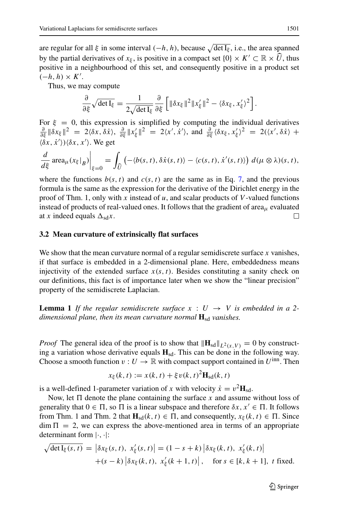are regular for all *ξ* in some interval *(*−*h, h)*, because det I*<sup>ξ</sup>* , i.e., the area spanned by the partial derivatives of  $x_{\xi}$ , is positive in a compact set  $\{0\} \times K' \subset \mathbb{R} \times \widehat{U}$ , thus positive in a neighbourhood of this set, and consequently positive in a product set  $\left(-h, h\right) \times K'.$ 

Thus, we may compute

$$
\frac{\partial}{\partial \xi} \sqrt{\det I_{\xi}} = \frac{1}{2\sqrt{\det I_{\xi}}} \frac{\partial}{\partial \xi} \left[ \|\delta x_{\xi}\|^2 \|x_{\xi}'\|^2 - \langle \delta x_{\xi}, x_{\xi}' \rangle^2 \right].
$$

For  $\xi = 0$ , this expression is simplified by computing the individual derivatives  $\frac{\partial}{\partial \xi} \|\delta x_{\xi}\|^2 = 2\langle \delta x, \delta \dot{x} \rangle$ ,  $\frac{\partial}{\partial \xi} \|x'_{\xi}\|^2 = 2\langle x', \dot{x}' \rangle$ , and  $\frac{\partial}{\partial \xi} \langle \delta x_{\xi}, x'_{\xi} \rangle^2 = 2(\langle x', \delta \dot{x} \rangle +$  $\langle \delta x, \dot{x}' \rangle$ ) $\langle \delta x, x' \rangle$ . We get

$$
\frac{d}{d\xi}\operatorname{area}_{\mu}(x_{\xi}|_{B})\bigg|_{\xi=0} = \int_{\widehat{U}} \left( -\langle b(s,t), \delta\dot{x}(s,t) \rangle - \langle c(s,t), \dot{x}'(s,t) \rangle \right) d(\mu \otimes \lambda)(s,t),
$$

where the functions  $b(s, t)$  and  $c(s, t)$  are the same as in Eq. [7,](#page-7-1) and the previous formula is the same as the expression for the derivative of the Dirichlet energy in the proof of Thm. 1, only with *x* instead of *u*, and scalar products of *V* -valued functions instead of products of real-valued ones. It follows that the gradient of area $\mu$  evaluated at *x* indeed equals  $\Delta_{sd}x$ .  $\Box$ 

#### **3.2 Mean curvature of extrinsically flat surfaces**

We show that the mean curvature normal of a regular semidiscrete surface *x* vanishes, if that surface is embedded in a 2-dimensional plane. Here, embeddedness means injectivity of the extended surface  $x(s, t)$ . Besides constituting a sanity check on our definitions, this fact is of importance later when we show the "linear precision" property of the semidiscrete Laplacian.

**Lemma 1** *If the regular semidiscrete surface*  $x : U \rightarrow V$  *is embedded in a 2dimensional plane, then its mean curvature normal*  $\mathbf{H}_{sd}$  *vanishes.* 

*Proof* The general idea of the proof is to show that  $\|\mathbf{H}_{sd}\|_{L^2(x,V)} = 0$  by constructing a variation whose derivative equals **H**sd. This can be done in the following way. Choose a smooth function  $v: U \to \mathbb{R}$  with compact support contained in  $U^{\text{inn}}$ . Then

$$
x_{\xi}(k,t) := x(k,t) + \xi v(k,t)^{2} \mathbf{H}_{sd}(k,t)
$$

is a well-defined 1-parameter variation of *x* with velocity  $\dot{x} = v^2 \mathbf{H}_{sd}$ .

Now, let  $\Pi$  denote the plane containing the surface x and assume without loss of generality that  $0 \in \Pi$ , so  $\Pi$  is a linear subspace and therefore  $\delta x, x' \in \Pi$ . It follows from Thm. 1 and Thm. 2 that  $\mathbf{H}_{sd}(k, t) \in \Pi$ , and consequently,  $x_{\xi}(k, t) \in \Pi$ . Since  $\dim \Pi = 2$ , we can express the above-mentioned area in terms of an appropriate determinant form |·*,* ·|:

$$
\sqrt{\det I_{\xi}(s,t)} = \left| \delta x_{\xi}(s,t), x_{\xi}'(s,t) \right| = (1-s+k) \left| \delta x_{\xi}(k,t), x_{\xi}'(k,t) \right|
$$
  
+(s-k)  $\left| \delta x_{\xi}(k,t), x_{\xi}'(k+1,t) \right|$ , for  $s \in [k, k+1]$ , t fixed.

 $\textcircled{2}$  Springer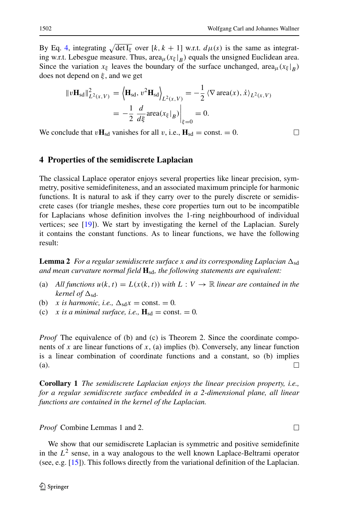By Eq. [4,](#page-4-2) integrating  $\sqrt{\det I_{\xi}}$  over  $[k, k + 1]$  w.r.t.  $d\mu(s)$  is the same as integrating w.r.t. Lebesgue measure. Thus,  $area_{\mu}(x_{\xi}|_{B})$  equals the unsigned Euclidean area. Since the variation  $x_{\xi}$  leaves the boundary of the surface unchanged, area<sub> $\mu$ </sub>( $x_{\xi}|_B$ ) does not depend on *ξ* , and we get

$$
||v\mathbf{H}_{sd}||_{L^{2}(x,V)}^{2} = \left\langle \mathbf{H}_{sd}, v^{2} \mathbf{H}_{sd} \right\rangle_{L^{2}(x,V)} = -\frac{1}{2} \left\langle \nabla \operatorname{area}(x), \dot{x} \right\rangle_{L^{2}(x,V)} = -\frac{1}{2} \left. \frac{d}{d\xi} \operatorname{area}(x_{\xi}|_{B}) \right|_{\xi=0} = 0.
$$

We conclude that  $v\mathbf{H}_{sd}$  vanishes for all *v*, i.e.,  $\mathbf{H}_{sd} = \text{const.} = 0$ .

## <span id="page-11-0"></span>**4 Properties of the semidiscrete Laplacian**

The classical Laplace operator enjoys several properties like linear precision, symmetry, positive semidefiniteness, and an associated maximum principle for harmonic functions. It is natural to ask if they carry over to the purely discrete or semidiscrete cases (for triangle meshes, these core properties turn out to be incompatible for Laplacians whose definition involves the 1-ring neighbourhood of individual vertices; see [\[19\]](#page-18-13)). We start by investigating the kernel of the Laplacian. Surely it contains the constant functions. As to linear functions, we have the following result:

 $\tt Lemma 2$  *For a regular semidiscrete surface x and its corresponding Laplacian*  $\Delta_{\rm sd}$ *and mean curvature normal field* **H**sd*, the following statements are equivalent:*

- (a) All functions  $u(k, t) = L(x(k, t))$  with  $L: V \to \mathbb{R}$  linear are contained in the  $kernel$  *of*  $\Delta_{sd}$ *.*
- (b) *x* is harmonic, i.e.,  $\Delta_{sd}x = \text{const.} = 0$ .
- (c) *x* is a minimal surface, i.e.,  $\mathbf{H}_{sd} = \text{const.} = 0$ .

*Proof* The equivalence of (b) and (c) is Theorem 2. Since the coordinate components of *x* are linear functions of *x*, (a) implies (b). Conversely, any linear function is a linear combination of coordinate functions and a constant, so (b) implies (a).  $\Box$ 

**Corollary 1** *The semidiscrete Laplacian enjoys the linear precision property, i.e., for a regular semidiscrete surface embedded in a 2-dimensional plane, all linear functions are contained in the kernel of the Laplacian.*

*Proof* Combine Lemmas 1 and 2.

We show that our semidiscrete Laplacian is symmetric and positive semidefinite in the  $L^2$  sense, in a way analogous to the well known Laplace-Beltrami operator (see, e.g. [\[15\]](#page-18-14)). This follows directly from the variational definition of the Laplacian.

 $\Box$ 

 $\Box$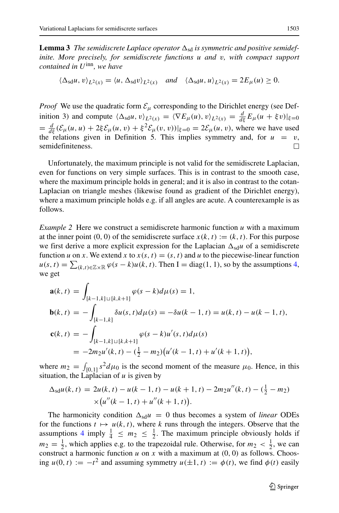${\bf Lemma\,3}$  The semidiscrete Laplace operator  $\Delta_{\rm sd}$  is symmetric and positive semidef*inite. More precisely, for semidiscrete functions u and v, with compact support contained in U*inn*, we have*

$$
\langle \Delta_{\text{sd}} u, v \rangle_{L^2(x)} = \langle u, \Delta_{\text{sd}} v \rangle_{L^2(x)} \quad \text{and} \quad \langle \Delta_{\text{sd}} u, u \rangle_{L^2(x)} = 2E_\mu(u) \ge 0.
$$

*Proof* We use the quadratic form  $\mathcal{E}_{\mu}$  corresponding to the Dirichlet energy (see Definition 3) and compute  $\langle \Delta_{sd} u, v \rangle_{L^2(x)} = \langle \nabla E_\mu(u), v \rangle_{L^2(x)} = \frac{d}{d\xi} E_\mu(u + \xi v)|_{\xi=0}$  $= \frac{d}{d\xi} (\mathcal{E}_{\mu}(u, u) + 2\xi \mathcal{E}_{\mu}(u, v) + \xi^2 \mathcal{E}_{\mu}(v, v))|_{\xi=0} = 2\mathcal{E}_{\mu}(u, v)$ , where we have used the relations given in Definition 5. This implies symmetry and, for  $u = v$ , semidefiniteness. semidefiniteness.

Unfortunately, the maximum principle is not valid for the semidiscrete Laplacian, even for functions on very simple surfaces. This is in contrast to the smooth case, where the maximum principle holds in general; and it is also in contrast to the cotan-Laplacian on triangle meshes (likewise found as gradient of the Dirichlet energy), where a maximum principle holds e.g. if all angles are acute. A counterexample is as follows.

*Example 2* Here we construct a semidiscrete harmonic function *u* with a maximum at the inner point  $(0, 0)$  of the semidiscrete surface  $x(k, t) := (k, t)$ . For this purpose we first derive a more explicit expression for the Laplacian  $\Delta_{sd}u$  of a semidiscrete function *u* on *x*. We extend *x* to  $x(s, t) = (s, t)$  and *u* to the piecewise-linear function  $u(s, t) = \sum_{(k,t) \in \mathbb{Z} \times \mathbb{R}} \varphi(s - k) u(k, t)$ . Then I = diag(1, 1), so by the assumptions [4,](#page-4-2) we get

$$
\mathbf{a}(k,t) = \int_{[k-1,k]\sqcup[k,k+1]} \varphi(s-k)d\mu(s) = 1,
$$
  
\n
$$
\mathbf{b}(k,t) = -\int_{[k-1,k]} \delta u(s,t)d\mu(s) = -\delta u(k-1,t) = u(k,t) - u(k-1,t),
$$
  
\n
$$
\mathbf{c}(k,t) = -\int_{[k-1,k]\sqcup[k,k+1]} \varphi(s-k)u'(s,t)d\mu(s)
$$
  
\n
$$
= -2m_2u'(k,t) - \left(\frac{1}{2} - m_2\right)\left(u'(k-1,t) + u'(k+1,t)\right),
$$

where  $m_2 = \int_{[0,1]} s^2 d\mu_0$  is the second moment of the measure  $\mu_0$ . Hence, in this situation, the Laplacian of *u* is given by

$$
\Delta_{\text{sd}}u(k,t) = 2u(k,t) - u(k-1,t) - u(k+1,t) - 2m_2u''(k,t) - (\frac{1}{2} - m_2) \times (u''(k-1,t) + u''(k+1,t)).
$$

The harmonicity condition  $\Delta_{sd}u = 0$  thus becomes a system of *linear* ODEs for the functions  $t \mapsto u(k, t)$ , where k runs through the integers. Observe that the assumptions [4](#page-4-2) imply  $\frac{1}{4} \leq m_2 \leq \frac{1}{2}$ . The maximum principle obviously holds if  $m_2 = \frac{1}{2}$ , which applies e.g. to the trapezoidal rule. Otherwise, for  $m_2 < \frac{1}{2}$ , we can construct a harmonic function *u* on *x* with a maximum at  $(0, 0)$  as follows. Choosing  $u(0, t) := -t^2$  and assuming symmetry  $u(\pm 1, t) := \phi(t)$ , we find  $\phi(t)$  easily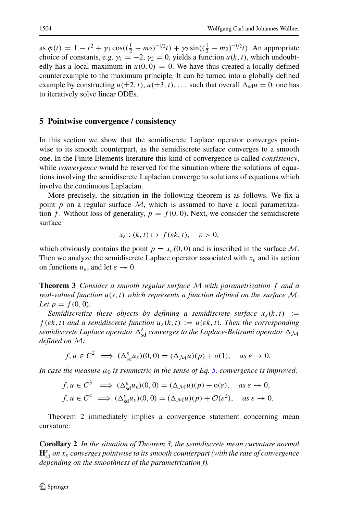as  $\phi(t) = 1 - t^2 + \gamma_1 \cos((\frac{1}{2} - m_2)^{-1/2}t) + \gamma_2 \sin((\frac{1}{2} - m_2)^{-1/2}t)$ . An appropriate choice of constants, e.g.  $\gamma_1 = -2$ ,  $\gamma_2 = 0$ , yields a function  $u(k, t)$ , which undoubtedly has a local maximum in  $u(0, 0) = 0$ . We have thus created a locally defined counterexample to the maximum principle. It can be turned into a globally defined example by constructing  $u(\pm 2, t)$ ,  $u(\pm 3, t)$ , ... such that overall  $\Delta_{sd}u = 0$ : one has to iteratively solve linear ODEs.

## **5 Pointwise convergence / consistency**

In this section we show that the semidiscrete Laplace operator converges pointwise to its smooth counterpart, as the semidiscrete surface converges to a smooth one. In the Finite Elements literature this kind of convergence is called *consistency*, while *convergence* would be reserved for the situation where the solutions of equations involving the semidiscrete Laplacian converge to solutions of equations which involve the continuous Laplacian.

More precisely, the situation in the following theorem is as follows. We fix a point  $p$  on a regular surface  $M$ , which is assumed to have a local parametrization *f*. Without loss of generality,  $p = f(0, 0)$ . Next, we consider the semidiscrete surface

$$
x_{\varepsilon} : (k, t) \mapsto f(\varepsilon k, t), \quad \varepsilon > 0,
$$

which obviously contains the point  $p = x_{\varepsilon}(0, 0)$  and is inscribed in the surface M. Then we analyze the semidiscrete Laplace operator associated with  $x_{\varepsilon}$  and its action on functions  $u_{\varepsilon}$ , and let  $\varepsilon \to 0$ .

**Theorem 3** *Consider a smooth regular surface* M *with parametrization f and a real-valued function u(s, t) which represents a function defined on the surface* M*. Let*  $p = f(0, 0)$ *.* 

*Semidiscretize these objects by defining a semidiscrete surface*  $x_{\varepsilon}(k, t) :=$ *f*( $\varepsilon k$ , t) and a semidiscrete function  $u_{\varepsilon}(k, t) := u(\varepsilon k, t)$ . Then the corresponding *semidiscrete Laplace operator*  $\Delta_{sd}^{\varepsilon}$  *converges to the Laplace-Beltrami operator*  $\Delta_{\mathcal{M}}$ *defined on* M*:*

$$
f, u \in C^2 \implies (\Delta_{\text{sd}}^{\varepsilon} u_{\varepsilon})(0, 0) = (\Delta_{\mathcal{M}} u)(p) + o(1), \text{ as } \varepsilon \to 0.
$$

*In case the measure*  $\mu_0$  *is symmetric in the sense of Eq. [5,](#page-4-3) convergence is improved:* 

$$
f, u \in C^3 \implies (\Delta_{sd}^{\varepsilon} u_{\varepsilon})(0, 0) = (\Delta_{\mathcal{M}} u)(p) + o(\varepsilon), \quad \text{as } \varepsilon \to 0,
$$
  

$$
f, u \in C^4 \implies (\Delta_{sd}^{\varepsilon} u_{\varepsilon})(0, 0) = (\Delta_{\mathcal{M}} u)(p) + \mathcal{O}(\varepsilon^2), \quad \text{as } \varepsilon \to 0.
$$

Theorem 2 immediately implies a convergence statement concerning mean curvature:

**Corollary 2** *In the situation of Theorem 3, the semidiscrete mean curvature normal*  $\mathbf{H}_{\rm sd}^{\varepsilon}$  *on*  $x_{\varepsilon}$  *converges pointwise to its smooth counterpart (with the rate of convergence depending on the smoothness of the parametrization f).*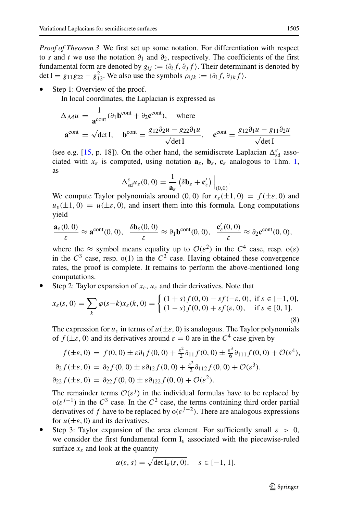*Proof of Theorem 3* We first set up some notation. For differentiation with respect to *s* and *t* we use the notation  $\partial_1$  and  $\partial_2$ , respectively. The coefficients of the first fundamental form are denoted by  $g_{ij} := \langle \partial_i f, \partial_j f \rangle$ . Their determinant is denoted by det I =  $g_{11}g_{22} - g_{12}^2$ . We also use the symbols  $\rho_{ijk} := \langle \partial_i f, \partial_{jk} f \rangle$ .

Step 1: Overview of the proof.

In local coordinates, the Laplacian is expressed as

$$
\Delta_{\mathcal{M}} u = \frac{1}{\mathbf{a}^{\text{cont}}} (\partial_1 \mathbf{b}^{\text{cont}} + \partial_2 \mathbf{c}^{\text{cont}}), \text{ where}
$$

$$
\mathbf{a}^{\text{cont}} = \sqrt{\det I}, \quad \mathbf{b}^{\text{cont}} = \frac{g_{12} \partial_2 u - g_{22} \partial_1 u}{\sqrt{\det I}}, \quad \mathbf{c}^{\text{cont}} = \frac{g_{12} \partial_1 u - g_{11} \partial_2 u}{\sqrt{\det I}}
$$

(see e.g. [\[15,](#page-18-14) p. 18]). On the other hand, the semidiscrete Laplacian  $\Delta_{sd}^{\varepsilon}$  associated with  $x_{\varepsilon}$  is computed, using notation  $\mathbf{a}_{\varepsilon}$ ,  $\mathbf{b}_{\varepsilon}$ ,  $\mathbf{c}_{\varepsilon}$  analogous to Thm. [1,](#page-7-2) as

$$
\Delta_{\rm sd}^{\varepsilon}u_{\varepsilon}(0,0)=\frac{1}{\mathbf{a}_{\varepsilon}}\left(\delta\mathbf{b}_{\varepsilon}+\mathbf{c}_{\varepsilon}'\right)\Big|_{(0,0)}.
$$

We compute Taylor polynomials around  $(0, 0)$  for  $x_{\varepsilon}(\pm 1, 0) = f(\pm \varepsilon, 0)$  and  $u_{\varepsilon}(\pm 1,0) = u(\pm \varepsilon,0)$ , and insert them into this formula. Long computations yield

$$
\frac{\mathbf{a}_{\varepsilon}(0,0)}{\varepsilon}\approx \mathbf{a}^{\text{cont}}(0,0),\ \ \frac{\delta \mathbf{b}_{\varepsilon}(0,0)}{\varepsilon}\approx \partial_1 \mathbf{b}^{\text{cont}}(0,0),\ \ \frac{\mathbf{c}'_{\varepsilon}(0,0)}{\varepsilon}\approx \partial_2 \mathbf{c}^{\text{cont}}(0,0),
$$

where the  $\approx$  symbol means equality up to  $\mathcal{O}(\varepsilon^2)$  in the  $C^4$  case, resp.  $o(\varepsilon)$ in the  $C^3$  case, resp. o(1) in the  $C^2$  case. Having obtained these convergence rates, the proof is complete. It remains to perform the above-mentioned long computations.

Step 2: Taylor expansion of  $x_{\varepsilon}$ ,  $u_{\varepsilon}$  and their derivatives. Note that

$$
x_{\varepsilon}(s,0) = \sum_{k} \varphi(s-k)x_{\varepsilon}(k,0) = \begin{cases} (1+s)f(0,0) - sf(-\varepsilon,0), & \text{if } s \in [-1,0],\\ (1-s)f(0,0) + sf(\varepsilon,0), & \text{if } s \in [0,1]. \end{cases}
$$
(8)

The expression for  $u_{\varepsilon}$  in terms of  $u(\pm \varepsilon, 0)$  is analogous. The Taylor polynomials of  $f(\pm \varepsilon, 0)$  and its derivatives around  $\varepsilon = 0$  are in the  $C^4$  case given by

$$
f(\pm \varepsilon, 0) = f(0, 0) \pm \varepsilon \partial_1 f(0, 0) + \frac{\varepsilon^2}{2} \partial_{11} f(0, 0) \pm \frac{\varepsilon^3}{6} \partial_{111} f(0, 0) + \mathcal{O}(\varepsilon^4),
$$
  
\n
$$
\partial_2 f(\pm \varepsilon, 0) = \partial_2 f(0, 0) \pm \varepsilon \partial_{12} f(0, 0) + \frac{\varepsilon^2}{2} \partial_{112} f(0, 0) + \mathcal{O}(\varepsilon^3).
$$
  
\n
$$
\partial_{22} f(\pm \varepsilon, 0) = \partial_{22} f(0, 0) \pm \varepsilon \partial_{122} f(0, 0) + \mathcal{O}(\varepsilon^2).
$$

The remainder terms  $\mathcal{O}(\varepsilon^{j})$  in the individual formulas have to be replaced by  $o(\varepsilon^{j-1})$  in the  $C^3$  case. In the  $C^2$  case, the terms containing third order partial derivatives of *f* have to be replaced by  $o(\varepsilon^{j-2})$ . There are analogous expressions for  $u(\pm \varepsilon, 0)$  and its derivatives.

Step 3: Taylor expansion of the area element. For sufficiently small  $\varepsilon > 0$ , we consider the first fundamental form I*<sup>ε</sup>* associated with the piecewise-ruled surface  $x_{\varepsilon}$  and look at the quantity

$$
\alpha(\varepsilon, s) = \sqrt{\det I_{\varepsilon}(s, 0)}, \quad s \in [-1, 1].
$$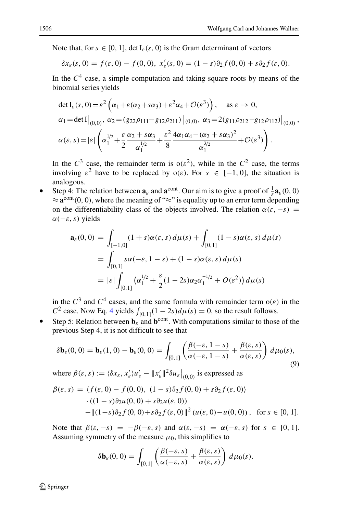Note that, for  $s \in [0, 1]$ , det  $I_{\varepsilon}(s, 0)$  is the Gram determinant of vectors

$$
\delta x_{\varepsilon}(s,0) = f(\varepsilon,0) - f(0,0), \; x'_{\varepsilon}(s,0) = (1-s)\partial_2 f(0,0) + s\partial_2 f(\varepsilon,0).
$$

In the  $C<sup>4</sup>$  case, a simple computation and taking square roots by means of the binomial series yields

$$
\det I_{\varepsilon}(s, 0) = \varepsilon^{2} \left( \alpha_{1} + \varepsilon (\alpha_{2} + s \alpha_{3}) + \varepsilon^{2} \alpha_{4} + \mathcal{O}(\varepsilon^{3}) \right), \quad \text{as } \varepsilon \to 0,
$$
\n
$$
\alpha_{1} = \det I \big|_{(0,0)}, \ \alpha_{2} = (g_{22}\rho_{111} - g_{12}\rho_{211}) \big|_{(0,0)}, \ \alpha_{3} = 2(g_{11}\rho_{212} - g_{12}\rho_{112}) \big|_{(0,0)},
$$
\n
$$
\alpha(\varepsilon, s) = |\varepsilon| \left( \alpha_{1}^{1/2} + \frac{\varepsilon}{2} \frac{\alpha_{2} + s \alpha_{3}}{\alpha_{1}^{1/2}} + \frac{\varepsilon^{2}}{8} \frac{4\alpha_{1}\alpha_{4} - (\alpha_{2} + s \alpha_{3})^{2}}{\alpha_{1}^{3/2}} + \mathcal{O}(\varepsilon^{3}) \right).
$$

In the  $C^3$  case, the remainder term is  $o(\varepsilon^2)$ , while in the  $C^2$  case, the terms involving  $\varepsilon^2$  have to be replaced by  $o(\varepsilon)$ . For  $s \in [-1, 0]$ , the situation is analogous.

• Step 4: The relation between  $\mathbf{a}_{\varepsilon}$  and  $\mathbf{a}^{\text{cont}}$ . Our aim is to give a proof of  $\frac{1}{\varepsilon} \mathbf{a}_{\varepsilon}(0,0)$  $\approx a^{\text{cont}}(0, 0)$ , where the meaning of "≈" is equality up to an error term depending on the differentiability class of the objects involved. The relation  $\alpha(\varepsilon, -\varepsilon)$  = *α(*−*ε, s)* yields

$$
\mathbf{a}_{\varepsilon}(0,0) = \int_{[-1,0]} (1+s)\alpha(\varepsilon,s) d\mu(s) + \int_{[0,1]} (1-s)\alpha(\varepsilon,s) d\mu(s)
$$
  
= 
$$
\int_{[0,1]} s\alpha(-\varepsilon, 1-s) + (1-s)\alpha(\varepsilon, s) d\mu(s)
$$
  
= 
$$
|\varepsilon| \int_{[0,1]} (\alpha_1^{1/2} + \frac{\varepsilon}{2} (1-2s)\alpha_2 \alpha_1^{-1/2} + O(\varepsilon^2)) d\mu(s)
$$

in the  $C^3$  and  $C^4$  cases, and the same formula with remainder term  $o(\varepsilon)$  in the *C*<sup>2</sup> case. Now Eq. [4](#page-4-2) yields  $\int_{[0,1]} (1 - 2s) d\mu(s) = 0$ , so the result follows.

Example 1. How Eq. + yields  $J_{[0,1]}(1 + 2s)a\mu(s) = 0$ , so the result follows.<br>• Step 5: Relation between  $\mathbf{b}_{\varepsilon}$  and  $\mathbf{b}^{\text{cont}}$ . With computations similar to those of the previous Step 4, it is not difficult to see that

<span id="page-15-0"></span>
$$
\delta \mathbf{b}_{\varepsilon}(0,0) = \mathbf{b}_{\varepsilon}(1,0) - \mathbf{b}_{\varepsilon}(0,0) = \int_{[0,1]} \left( \frac{\beta(-\varepsilon, 1-s)}{\alpha(-\varepsilon, 1-s)} + \frac{\beta(\varepsilon, s)}{\alpha(\varepsilon, s)} \right) d\mu_0(s),\tag{9}
$$

where  $\beta(\varepsilon, s) := \langle \delta x_{\varepsilon}, x_{\varepsilon}' \rangle u_{\varepsilon}' - ||x_{\varepsilon}'||^2 \delta u_{\varepsilon} \Big|_{(0,0)}$  is expressed as

$$
\beta(\varepsilon, s) = \langle f(\varepsilon, 0) - f(0, 0), (1 - s)\partial_2 f(0, 0) + s\partial_2 f(\varepsilon, 0) \rangle
$$
  
.
$$
\cdot ((1 - s)\partial_2 u(0, 0) + s\partial_2 u(\varepsilon, 0))
$$
  

$$
- \|(1 - s)\partial_2 f(0, 0) + s\partial_2 f(\varepsilon, 0)\|^2 (u(\varepsilon, 0) - u(0, 0)), \text{ for } s \in [0, 1].
$$

Note that  $\beta(\varepsilon, -s) = -\beta(-\varepsilon, s)$  and  $\alpha(\varepsilon, -s) = \alpha(-\varepsilon, s)$  for  $s \in [0, 1]$ . Assuming symmetry of the measure  $\mu_0$ , this simplifies to

$$
\delta \mathbf{b}_{\varepsilon}(0,0) = \int_{[0,1]} \left( \frac{\beta(-\varepsilon,s)}{\alpha(-\varepsilon,s)} + \frac{\beta(\varepsilon,s)}{\alpha(\varepsilon,s)} \right) d\mu_0(s).
$$

 $\mathcal{D}$  Springer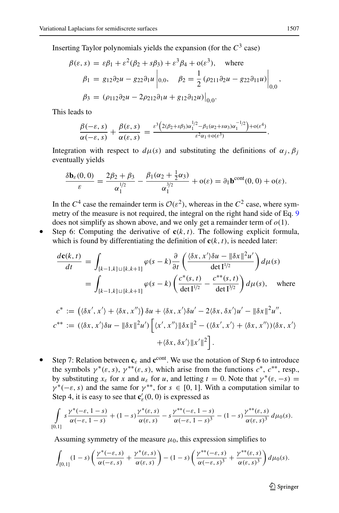Inserting Taylor polynomials yields the expansion (for the *C*<sup>3</sup> case)

$$
\beta(\varepsilon, s) = \varepsilon \beta_1 + \varepsilon^2 (\beta_2 + s \beta_3) + \varepsilon^3 \beta_4 + o(\varepsilon^3), \text{ where}
$$
  
\n
$$
\beta_1 = g_{12} \partial_2 u - g_{22} \partial_1 u \bigg|_{0,0}, \quad \beta_2 = \frac{1}{2} (\rho_{211} \partial_2 u - g_{22} \partial_{11} u) \bigg|_{0,0},
$$
  
\n
$$
\beta_3 = (\rho_{112} \partial_2 u - 2\rho_{212} \partial_1 u + g_{12} \partial_{12} u) \bigg|_{0,0}.
$$

This leads to

$$
\frac{\beta(-\varepsilon,s)}{\alpha(-\varepsilon,s)}+\frac{\beta(\varepsilon,s)}{\alpha(\varepsilon,s)}=\frac{\varepsilon^3\left(2(\beta_2+s\beta_3)\alpha_1^{1/2}-\beta_1(\alpha_2+s\alpha_3)\alpha_1^{-1/2}\right)+o(\varepsilon^4)}{\varepsilon^2\alpha_1+o(\varepsilon^3)}.
$$

Integration with respect to  $d\mu(s)$  and substituting the definitions of  $\alpha_j$ ,  $\beta_j$ eventually yields

$$
\frac{\delta \mathbf{b}_{\varepsilon}(0,0)}{\varepsilon} = \frac{2\beta_2 + \beta_3}{\alpha_1^{1/2}} - \frac{\beta_1(\alpha_2 + \frac{1}{2}\alpha_3)}{\alpha_1^{3/2}} + o(\varepsilon) = \partial_1 \mathbf{b}^{\text{cont}}(0,0) + o(\varepsilon).
$$

In the  $C^4$  case the remainder term is  $\mathcal{O}(\varepsilon^2)$ , whereas in the  $C^2$  case, where symmetry of the measure is not required, the integral on the right hand side of Eq. [9](#page-15-0) does not simplify as shown above, and we only get a remainder term of  $o(1)$ .

• Step 6: Computing the derivative of  $c(k, t)$ . The following explicit formula, which is found by differentiating the definition of  $c(k, t)$ , is needed later:

$$
\frac{d\mathbf{c}(k,t)}{dt} = \int_{[k-1,k]\sqcup[k,k+1]} \varphi(s-k) \frac{\partial}{\partial t} \left( \frac{\langle \delta x, x' \rangle \delta u - \|\delta x\|^2 u'}{\det I^{1/2}} \right) d\mu(s)
$$

$$
= \int_{[k-1,k]\sqcup[k,k+1]} \varphi(s-k) \left( \frac{c^*(s,t)}{\det I^{1/2}} - \frac{c^{**}(s,t)}{\det I^{3/2}} \right) d\mu(s), \quad \text{where}
$$

$$
c^* := ((\delta x', x') + \langle \delta x, x'' \rangle) \delta u + \langle \delta x, x' \rangle \delta u' - 2 \langle \delta x, \delta x' \rangle u' - ||\delta x||^2 u'',
$$
  

$$
c^{**} := ((\delta x, x')\delta u - ||\delta x||^2 u') \Big[ \langle x', x'' \rangle ||\delta x||^2 - (\langle \delta x', x' \rangle + \langle \delta x, x'' \rangle) \langle \delta x, x' \rangle
$$
  

$$
+ \langle \delta x, \delta x' \rangle ||x'||^2 \Big].
$$

Step 7: Relation between  $c_{\varepsilon}$  and  $c^{\text{cont}}$ . We use the notation of Step 6 to introduce the symbols  $\gamma^*(\varepsilon, s)$ ,  $\gamma^{**}(\varepsilon, s)$ , which arise from the functions  $c^*$ ,  $c^{**}$ , resp., by substituting  $x_{\varepsilon}$  for *x* and  $u_{\varepsilon}$  for *u*, and letting  $t = 0$ . Note that  $\gamma^*(\varepsilon, -s) =$  $\gamma^*(-\varepsilon, s)$  and the same for  $\gamma^{**}$ , for  $s \in [0, 1]$ . With a computation similar to Step 4, it is easy to see that  $\mathbf{c}'_{\varepsilon}(0,0)$  is expressed as

$$
\int_{[0,1]} s \frac{\gamma^*(-\varepsilon, 1-s)}{\alpha(-\varepsilon, 1-s)} + (1-s) \frac{\gamma^*(\varepsilon, s)}{\alpha(\varepsilon, s)} - s \frac{\gamma^{**}(-\varepsilon, 1-s)}{\alpha(-\varepsilon, 1-s)^3} - (1-s) \frac{\gamma^{**}(\varepsilon, s)}{\alpha(\varepsilon, s)^3} d\mu_0(s).
$$

Assuming symmetry of the measure  $\mu_0$ , this expression simplifies to

$$
\int_{[0,1]} (1-s) \left( \frac{\gamma^*(-\varepsilon,s)}{\alpha(-\varepsilon,s)} + \frac{\gamma^*(\varepsilon,s)}{\alpha(\varepsilon,s)} \right) - (1-s) \left( \frac{\gamma^{**}(-\varepsilon,s)}{\alpha(-\varepsilon,s)^3} + \frac{\gamma^{**}(\varepsilon,s)}{\alpha(\varepsilon,s)^3} \right) d\mu_0(s).
$$

2 Springer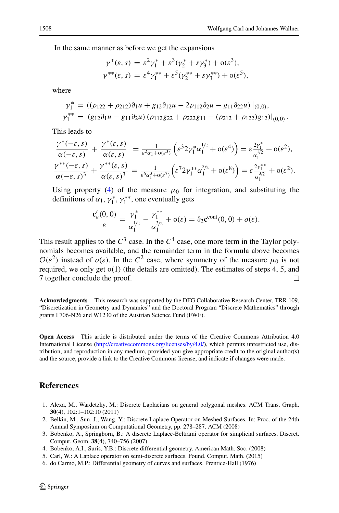In the same manner as before we get the expansions

$$
\gamma^*(\varepsilon, s) = \varepsilon^2 \gamma_1^* + \varepsilon^3 (\gamma_2^* + s \gamma_3^*) + o(\varepsilon^3),
$$
  

$$
\gamma^{**}(\varepsilon, s) = \varepsilon^4 \gamma_1^{**} + \varepsilon^5 (\gamma_2^{**} + s \gamma_3^{**}) + o(\varepsilon^5),
$$

where

$$
\gamma_1^* = ((\rho_{122} + \rho_{212})\partial_1 u + g_{12}\partial_{12} u - 2\rho_{112}\partial_2 u - g_{11}\partial_2 u)\Big|_{(0,0)},
$$
  
\n
$$
\gamma_1^{**} = (g_{12}\partial_1 u - g_{11}\partial_2 u) (\rho_{112}g_{22} + \rho_{222}g_{11} - (\rho_{212} + \rho_{122})g_{12})\Big|_{(0,0)}.
$$

This leads to

$$
\frac{\gamma^*(-\varepsilon,s)}{\alpha(-\varepsilon,s)} + \frac{\gamma^*(\varepsilon,s)}{\alpha(\varepsilon,s)} = \frac{1}{\varepsilon^2 \alpha_1 + o(\varepsilon^3)} \left( \varepsilon^3 2 \gamma_1^* \alpha_1^{1/2} + o(\varepsilon^4) \right) = \varepsilon \frac{2 \gamma_1^*}{\alpha_1^{1/2}} + o(\varepsilon^2),
$$
\n
$$
\frac{\gamma^{**}(-\varepsilon,s)}{\alpha(-\varepsilon,s)^3} + \frac{\gamma^{**}(\varepsilon,s)}{\alpha(\varepsilon,s)^3} = \frac{1}{\varepsilon^6 \alpha_1^3 + o(\varepsilon^7)} \left( \varepsilon^7 2 \gamma_1^{**} \alpha_1^{3/2} + o(\varepsilon^8) \right) = \varepsilon \frac{2 \gamma_1^{**}}{\alpha_1^{3/2}} + o(\varepsilon^2).
$$

Using property [\(4\)](#page-4-2) of the measure  $\mu_0$  for integration, and substituting the definitions of  $\alpha_1$ ,  $\gamma_1^*$ ,  $\gamma_1^{**}$ , one eventually gets

$$
\frac{\mathbf{c}'_{\varepsilon}(0,0)}{\varepsilon} = \frac{\gamma_1^*}{\alpha_1^{1/2}} - \frac{\gamma_1^{**}}{\alpha_1^{3/2}} + o(\varepsilon) = \partial_2 \mathbf{c}^{\text{cont}}(0,0) + o(\varepsilon).
$$

This result applies to the  $C^3$  case. In the  $C^4$  case, one more term in the Taylor polynomials becomes available, and the remainder term in the formula above becomes  $\mathcal{O}(\varepsilon^2)$  instead of  $o(\varepsilon)$ . In the  $C^2$  case, where symmetry of the measure  $\mu_0$  is not required, we only get o*(*1*)* (the details are omitted). The estimates of steps 4, 5, and 7 together conclude the proof. П

**Acknowledgments** This research was supported by the DFG Collaborative Research Center, TRR 109, "Discretization in Geometry and Dynamics" and the Doctoral Program "Discrete Mathematics" through grants I 706-N26 and W1230 of the Austrian Science Fund (FWF).

**Open Access** This article is distributed under the terms of the Creative Commons Attribution 4.0 International License [\(http://creativecommons.org/licenses/by/4.0/\)](http://creativecommons.org/licenses/by/4.0/), which permits unrestricted use, distribution, and reproduction in any medium, provided you give appropriate credit to the original author(s) and the source, provide a link to the Creative Commons license, and indicate if changes were made.

## **References**

- <span id="page-17-0"></span>1. Alexa, M., Wardetzky, M.: Discrete Laplacians on general polygonal meshes. ACM Trans. Graph. **30**(4), 102:1–102:10 (2011)
- 2. Belkin, M., Sun, J., Wang, Y.: Discrete Laplace Operator on Meshed Surfaces. In: Proc. of the 24th Annual Symposium on Computational Geometry, pp. 278–287. ACM (2008)
- <span id="page-17-1"></span>3. Bobenko, A., Springborn, B.: A discrete Laplace-Beltrami operator for simplicial surfaces. Discret. Comput. Geom. **38**(4), 740–756 (2007)
- <span id="page-17-2"></span>4. Bobenko, A.I., Suris, Y.B.: Discrete differential geometry. American Math. Soc. (2008)
- <span id="page-17-4"></span>5. Carl, W.: A Laplace operator on semi-discrete surfaces. Found. Comput. Math. (2015)
- <span id="page-17-3"></span>6. do Carmo, M.P.: Differential geometry of curves and surfaces. Prentice-Hall (1976)